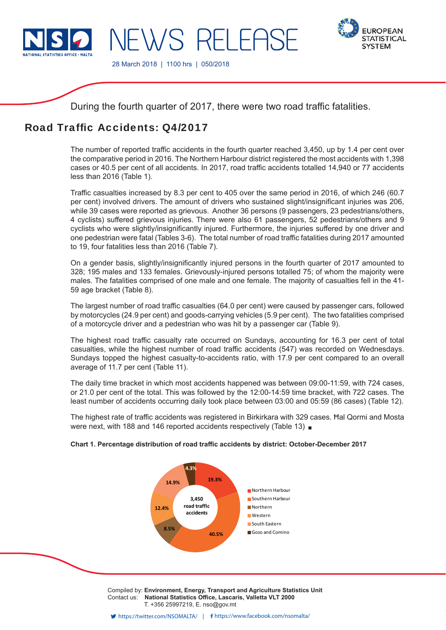

IFWS RELEAS



28 March 2018 | 1100 hrs | 050/2018

During the fourth quarter of 2017, there were two road traffic fatalities.

# Road Traffic Accidents: 04/2017

The number of reported traffic accidents in the fourth quarter reached 3,450, up by 1.4 per cent over the comparative period in 2016. The Northern Harbour district registered the most accidents with 1,398 cases or 40.5 per cent of all accidents. In 2017, road traffic accidents totalled 14,940 or 77 accidents less than 2016 (Table 1).

Traffic casualties increased by 8.3 per cent to 405 over the same period in 2016, of which 246 (60.7) per cent) involved drivers. The amount of drivers who sustained slight/insignificant injuries was 206, while 39 cases were reported as grievous. Another 36 persons (9 passengers, 23 pedestrians/others, 4 cyclists) suffered grievous injuries. There were also 61 passengers, 52 pedestrians/others and 9 cyclists who were slightly/insignificantly injured. Furthermore, the injuries suffered by one driver and one pedestrian were fatal (Tables 3-6). The total number of road traffic fatalities during 2017 amounted to 19, four fatalities less than 2016 (Table 7).

On a gender basis, slightly/insignificantly injured persons in the fourth quarter of 2017 amounted to 328; 195 males and 133 females. Grievously-injured persons totalled 75; of whom the majority were males. The fatalities comprised of one male and one female. The majority of casualties fell in the 41- 59 age bracket (Table 8).

The largest number of road traffic casualties (64.0 per cent) were caused by passenger cars, followed by motorcycles (24.9 per cent) and goods-carrying vehicles (5.9 per cent). The two fatalities comprised of a motorcycle driver and a pedestrian who was hit by a passenger car (Table 9).

The highest road traffic casualty rate occurred on Sundays, accounting for 16.3 per cent of total casualties, while the highest number of road traffic accidents (547) was recorded on Wednesdays. Sundays topped the highest casualty-to-accidents ratio, with 17.9 per cent compared to an overall average of 11.7 per cent (Table 11).

The daily time bracket in which most accidents happened was between 09:00-11:59, with 724 cases, or 21.0 per cent of the total. This was followed by the 12:00-14:59 time bracket, with 722 cases. The least number of accidents occurring daily took place between 03:00 and 05:59 (86 cases) (Table 12).

The highest rate of traffic accidents was registered in Birkirkara with 329 cases. Hal Qormi and Mosta were next, with 188 and 146 reported accidents respectively (Table 13)



# Chart 1. Percentage distribution of road traffic accidents by district: October-December 2017

Compiled by: **Environment, Energy, Transport and Agriculture Statistics Unit** Contact us: National Statistics Office, Lascaris, Valletta VLT 2000 T. +356 25997219, E. nso@gov.mt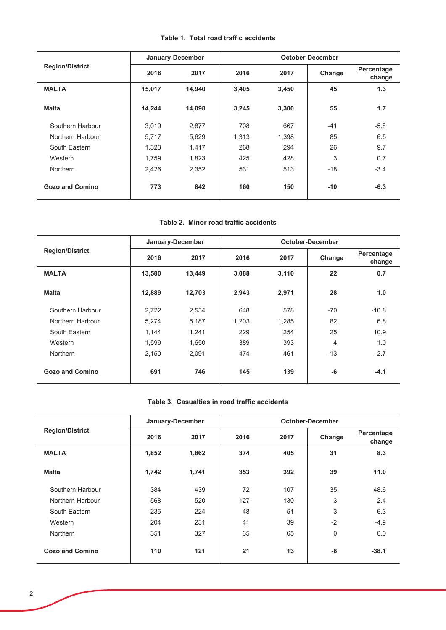|  |  | Table 1. Total road traffic accidents |
|--|--|---------------------------------------|
|  |  |                                       |

|                        |        | January-December |       |       | October-December |                      |
|------------------------|--------|------------------|-------|-------|------------------|----------------------|
| <b>Region/District</b> | 2016   | 2017             | 2016  | 2017  | Change           | Percentage<br>change |
| <b>MALTA</b>           | 15,017 | 14,940           | 3,405 | 3,450 | 45               | 1.3                  |
| <b>Malta</b>           | 14,244 | 14,098           | 3,245 | 3,300 | 55               | 1.7                  |
| Southern Harbour       | 3,019  | 2,877            | 708   | 667   | $-41$            | $-5.8$               |
| Northern Harbour       | 5,717  | 5,629            | 1.313 | 1,398 | 85               | 6.5                  |
| South Eastern          | 1,323  | 1,417            | 268   | 294   | 26               | 9.7                  |
| Western                | 1,759  | 1,823            | 425   | 428   | 3                | 0.7                  |
| <b>Northern</b>        | 2,426  | 2,352            | 531   | 513   | $-18$            | $-3.4$               |
| <b>Gozo and Comino</b> | 773    | 842              | 160   | 150   | $-10$            | $-6.3$               |

# Table 2. Minor road traffic accidents

|                        |        | January-December |       |       | October-December |                      |
|------------------------|--------|------------------|-------|-------|------------------|----------------------|
| <b>Region/District</b> | 2016   | 2017             | 2016  | 2017  | Change           | Percentage<br>change |
| <b>MALTA</b>           | 13,580 | 13,449           | 3,088 | 3,110 | 22               | 0.7                  |
| <b>Malta</b>           | 12,889 | 12,703           | 2,943 | 2,971 | 28               | 1.0                  |
| Southern Harbour       | 2,722  | 2,534            | 648   | 578   | $-70$            | $-10.8$              |
| Northern Harbour       | 5,274  | 5,187            | 1,203 | 1,285 | 82               | 6.8                  |
| South Eastern          | 1,144  | 1,241            | 229   | 254   | 25               | 10.9                 |
| Western                | 1.599  | 1.650            | 389   | 393   | 4                | 1.0                  |
| <b>Northern</b>        | 2,150  | 2,091            | 474   | 461   | $-13$            | $-2.7$               |
| Gozo and Comino        | 691    | 746              | 145   | 139   | $-6$             | $-4.1$               |

# Table 3. Casualties in road traffic accidents

|                        |       | January-December |      |      | <b>October-December</b> |                      |
|------------------------|-------|------------------|------|------|-------------------------|----------------------|
| <b>Region/District</b> | 2016  | 2017             | 2016 | 2017 | Change                  | Percentage<br>change |
| <b>MALTA</b>           | 1,852 | 1,862            | 374  | 405  | 31                      | 8.3                  |
| <b>Malta</b>           | 1,742 | 1,741            | 353  | 392  | 39                      | 11.0                 |
| Southern Harbour       | 384   | 439              | 72   | 107  | 35                      | 48.6                 |
| Northern Harbour       | 568   | 520              | 127  | 130  | 3                       | 2.4                  |
| South Eastern          | 235   | 224              | 48   | 51   | 3                       | 6.3                  |
| Western                | 204   | 231              | 41   | 39   | $-2$                    | $-4.9$               |
| <b>Northern</b>        | 351   | 327              | 65   | 65   | $\mathbf 0$             | 0.0                  |
| <b>Gozo and Comino</b> | 110   | 121              | 21   | 13   | -8                      | $-38.1$              |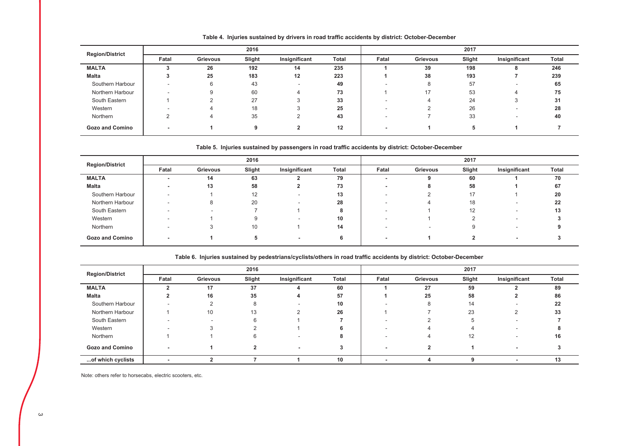| <b>Region/District</b> |        | 2016     |        |               |       |       | 2017     |        |               |              |  |
|------------------------|--------|----------|--------|---------------|-------|-------|----------|--------|---------------|--------------|--|
|                        | Fatal  | Grievous | Slight | Insignificant | Total | Fatal | Grievous | Slight | Insignificant | <b>Total</b> |  |
| <b>MALTA</b>           |        | 26       | 192    | 14            | 235   |       | 39       | 198    | 8             | 246          |  |
| <b>Malta</b>           |        | 25       | 183    | 12            | 223   |       | 38       | 193    |               | 239          |  |
| Southern Harbour       |        | 6        | 43     |               | 49    |       | 8        | 57     | -             | 65           |  |
| Northern Harbour       | $\sim$ | 9        | 60     |               | 73    |       | 17       | 53     |               | 75           |  |
| South Eastern          |        |          | 27     |               | 33    |       | 4        | 24     | -3            | 31           |  |
| Western                |        |          | 18     |               | 25    |       |          | 26     | -             | 28           |  |
| Northern               |        |          | 35     |               | 43    |       |          | 33     |               | 40           |  |
| <b>Gozo and Comino</b> |        |          | 9      |               | 12    |       |          | 5      |               |              |  |

Table 4. Injuries sustained by drivers in road traffic accidents by district: October-December

#### Table 5. Injuries sustained by passengers in road traffic accidents by district: October-December

| <b>Region/District</b> |                          | 2016     |        |               |              |       | 2017     |        |               |       |  |
|------------------------|--------------------------|----------|--------|---------------|--------------|-------|----------|--------|---------------|-------|--|
|                        | Fatal                    | Grievous | Slight | Insignificant | <b>Total</b> | Fatal | Grievous | Slight | Insignificant | Total |  |
| <b>MALTA</b>           | $\overline{\phantom{0}}$ | 14       | 63     |               | 79           |       |          | 60     |               | 70    |  |
| Malta                  | -                        | 13       | 58     |               | 73           |       | 8        | 58     |               | 67    |  |
| Southern Harbour       |                          |          | 12     |               | 13           |       |          | 17     |               | 20    |  |
| Northern Harbour       |                          | 8        | 20     |               | 28           |       | 4        | 18     | -             | 22    |  |
| South Eastern          |                          |          |        |               |              |       |          | 12     |               | 13    |  |
| Western                |                          |          |        |               | 10           |       |          |        |               |       |  |
| Northern               |                          |          | 10     |               | 14           |       | $\sim$   |        | -             |       |  |
| <b>Gozo and Comino</b> | -                        |          |        |               | 6            |       |          | າ      | -             |       |  |

Table 6. Injuries sustained by pedestrians/cyclists/others in road traffic accidents by district: October-December

|                        |       | 2016     |        |               |       |       | 2017     |        |                          |       |  |
|------------------------|-------|----------|--------|---------------|-------|-------|----------|--------|--------------------------|-------|--|
| <b>Region/District</b> | Fatal | Grievous | Slight | Insignificant | Total | Fatal | Grievous | Slight | Insignificant            | Total |  |
| <b>MALTA</b>           |       | 17       | 37     |               | 60    |       | 27       | 59     |                          | 89    |  |
| Malta                  |       | 16       | 35     | 4             | 57    |       | 25       | 58     |                          | 86    |  |
| Southern Harbour       |       |          | 8      |               | 10    |       | 8        | 14     |                          | 22    |  |
| Northern Harbour       |       | 10       | 13     |               | 26    |       |          | 23     |                          | 33    |  |
| South Eastern          |       |          | 6      |               |       |       |          |        |                          |       |  |
| Western                |       |          |        |               |       |       |          |        | -                        |       |  |
| Northern               |       |          |        |               |       |       |          | 12     |                          | 16    |  |
| <b>Gozo and Comino</b> | -     |          |        |               |       |       |          |        | $\overline{\phantom{0}}$ |       |  |
| of which cyclists      | -     |          |        |               | 10    |       |          |        | $\overline{\phantom{0}}$ | 13    |  |

Note: others refer to horsecabs, electric scooters, etc.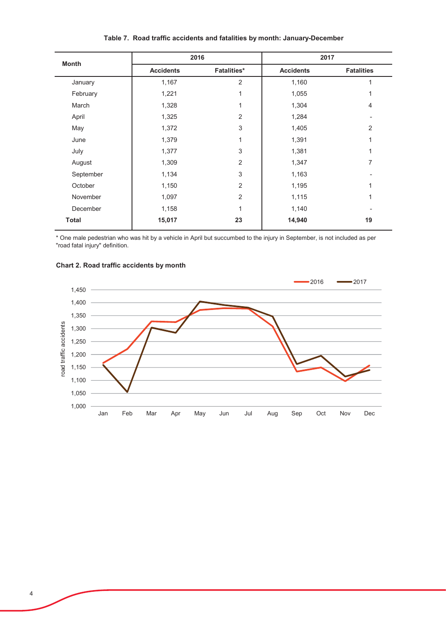| <b>Month</b> |                  | 2016               |                  | 2017              |
|--------------|------------------|--------------------|------------------|-------------------|
|              | <b>Accidents</b> | <b>Fatalities*</b> | <b>Accidents</b> | <b>Fatalities</b> |
| January      | 1,167            | $\overline{2}$     | 1,160            | 1                 |
| February     | 1,221            | 1                  | 1,055            | 1                 |
| March        | 1,328            | 1                  | 1,304            | $\overline{4}$    |
| April        | 1,325            | $\overline{2}$     | 1,284            | ٠                 |
| May          | 1,372            | 3                  | 1,405            | 2                 |
| June         | 1,379            | 1                  | 1,391            | 1                 |
| July         | 1,377            | 3                  | 1,381            | 1                 |
| August       | 1,309            | $\overline{2}$     | 1,347            | 7                 |
| September    | 1,134            | 3                  | 1,163            |                   |
| October      | 1,150            | $\overline{2}$     | 1,195            | 1                 |
| November     | 1,097            | 2                  | 1,115            | 1                 |
| December     | 1,158            | 1                  | 1,140            |                   |
| <b>Total</b> | 15,017           | 23                 | 14,940           | 19                |

# Table 7. Road traffic accidents and fatalities by month: January-December

\* One male pedestrian who was hit by a vehicle in April but succumbed to the injury in September, is not included as per<br>"road fatal injury" definition.



#### Chart 2. Road traffic accidents by month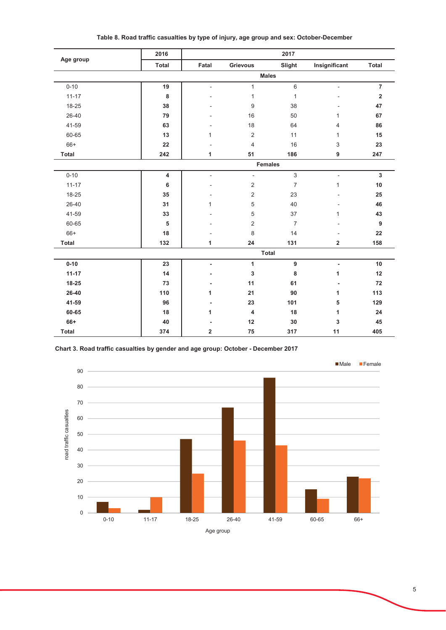| Age group      | 2016      |                |                | 2017           |                          |                         |
|----------------|-----------|----------------|----------------|----------------|--------------------------|-------------------------|
|                | Total     | Fatal          | Grievous       | Slight         | Insignificant            | <b>Total</b>            |
|                |           |                |                | <b>Males</b>   |                          |                         |
| $0 - 10$       | 19        | $\blacksquare$ | $\mathbf{1}$   | $\,6\,$        | $\overline{\phantom{a}}$ | $\overline{7}$          |
| $11 - 17$      | 8         |                | 1              | $\mathbf{1}$   |                          | $\overline{\mathbf{2}}$ |
| 18-25          | 38        |                | 9              | 38             |                          | 47                      |
| 26-40          | 79        |                | 16             | 50             | 1                        | 67                      |
| 41-59          | 63        | ٠              | 18             | 64             | 4                        | 86                      |
| 60-65          | 13        | 1              | $\sqrt{2}$     | 11             | 1                        | 15                      |
| $66+$          | 22        |                | $\overline{4}$ | 16             | 3                        | 23                      |
| <b>Total</b>   | 242       | 1              | 51             | 186            | 9                        | 247                     |
| <b>Females</b> |           |                |                |                |                          |                         |
| $0 - 10$       | 4         | ÷,             | $\frac{1}{2}$  | 3              | $\overline{a}$           | $\mathbf{3}$            |
| $11 - 17$      | 6         |                | $\overline{c}$ | $\overline{7}$ | $\mathbf{1}$             | 10                      |
| 18-25          | 35        |                | $\overline{2}$ | 23             |                          | 25                      |
| 26-40          | 31        | 1              | 5              | 40             |                          | 46                      |
| 41-59          | 33        |                | 5              | 37             | $\mathbf{1}$             | 43                      |
| 60-65          | ${\bf 5}$ |                | 2              | $\overline{7}$ |                          | $9\,$                   |
| 66+            | 18        |                | 8              | 14             |                          | 22                      |
| <b>Total</b>   | 132       | 1              | 24             | 131            | $\overline{\mathbf{2}}$  | 158                     |
|                |           |                |                | <b>Total</b>   |                          |                         |
| $0 - 10$       | 23        | $\blacksquare$ | 1              | 9              | $\overline{a}$           | $10\,$                  |
| $11 - 17$      | 14        |                | 3              | 8              | 1                        | 12                      |
| 18-25          | 73        |                | 11             | 61             |                          | 72                      |
| 26-40          | 110       | 1              | 21             | 90             | 1                        | 113                     |
| 41-59          | 96        | $\blacksquare$ | 23             | 101            | 5                        | 129                     |
| 60-65          | 18        | 1              | 4              | 18             | 1                        | 24                      |
| 66+            | 40        |                | 12             | 30             | 3                        | 45                      |
| <b>Total</b>   | 374       | 2              | 75             | 317            | 11                       | 405                     |

Table 8. Road traffic casualties by type of injury, age group and sex: October-December

Chart 3. Road traffic casualties by gender and age group: October - December 2017

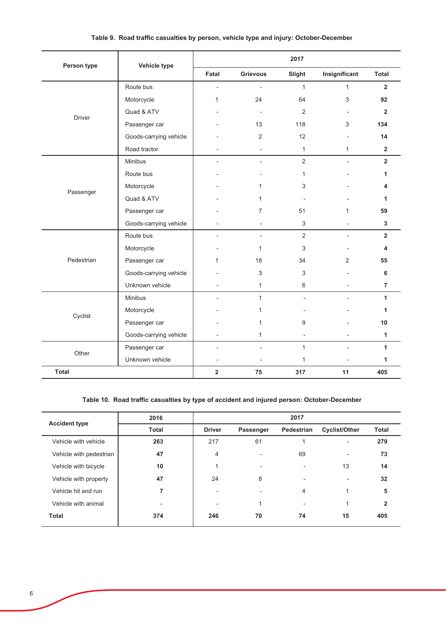| Person type   | Vehicle type           |                |                          | 2017                     |                          |                |
|---------------|------------------------|----------------|--------------------------|--------------------------|--------------------------|----------------|
|               |                        | Fatal          | <b>Grievous</b>          | Slight                   | Insignificant            | <b>Total</b>   |
|               | Route bus              | ÷,             | $\overline{\phantom{a}}$ | $\mathbf{1}$             | $\mathbf{1}$             | $\overline{2}$ |
|               | Motorcycle             | 1              | 24                       | 64                       | 3                        | 92             |
| <b>Driver</b> | Quad & ATV             |                | $\overline{\phantom{a}}$ | 2                        | $\overline{a}$           | $\overline{2}$ |
|               | Passenger car          |                | 13                       | 118                      | 3                        | 134            |
|               | Goods-carrying vehicle |                | $\overline{2}$           | 12                       |                          | 14             |
|               | Road tractor           |                |                          | $\mathbf{1}$             | $\mathbf{1}$             | $\overline{2}$ |
|               | Minibus                |                | $\overline{a}$           | $\overline{2}$           | $\overline{\phantom{0}}$ | $\overline{2}$ |
|               | Route bus              |                |                          | 1                        |                          | 1              |
| Passenger     | Motorcycle             |                | 1                        | 3                        |                          | 4              |
|               | Quad & ATV             |                | 1                        |                          |                          | 1              |
|               | Passenger car          |                | $\overline{7}$           | 51                       | 1                        | 59             |
|               | Goods-carrying vehicle |                | $\overline{\phantom{a}}$ | $\mathbf{3}$             |                          | $\mathbf{3}$   |
|               | Route bus              | $\overline{a}$ | $\sim$                   | 2                        | $\overline{\phantom{0}}$ | $\overline{2}$ |
|               | Motorcycle             |                | $\mathbf{1}$             | 3                        |                          | 4              |
| Pedestrian    | Passenger car          | 1              | 18                       | 34                       | $\overline{2}$           | 55             |
|               | Goods-carrying vehicle |                | 3                        | 3                        |                          | 6              |
|               | Unknown vehicle        |                | $\mathbf{1}$             | 6                        |                          | $\overline{7}$ |
|               | Minibus                |                | $\mathbf{1}$             | $\overline{\phantom{a}}$ | $\overline{a}$           | $\mathbf{1}$   |
| Cyclist       | Motorcycle             |                | 1                        |                          |                          | 1              |
|               | Passenger car          |                | $\mathbf{1}$             | 9                        |                          | 10             |
|               | Goods-carrying vehicle |                | $\mathbf{1}$             |                          |                          | $\mathbf{1}$   |
| Other         | Passenger car          |                |                          | $\mathbf{1}$             |                          | $\mathbf{1}$   |
|               | Unknown vehicle        | $\overline{a}$ |                          | $\mathbf{1}$             | $\overline{\phantom{a}}$ | $\mathbf{1}$   |
| <b>Total</b>  |                        | $\overline{2}$ | 75                       | 317                      | 11                       | 405            |

# Table 9. Road traffic casualties by person, vehicle type and injury: October-December

# Table 10. Road traffic casualties by type of accident and injured person: October-December

| <b>Accident type</b>    | 2016         |                |           | 2017                     |                          |              |
|-------------------------|--------------|----------------|-----------|--------------------------|--------------------------|--------------|
|                         | <b>Total</b> | <b>Driver</b>  | Passenger | Pedestrian               | <b>Cyclist/Other</b>     | <b>Total</b> |
| Vehicle with vehicle    | 263          | 217            | 61        |                          | $\overline{\phantom{0}}$ | 279          |
| Vehicle with pedestrian | 47           | 4              |           | 69                       | $\overline{\phantom{0}}$ | 73           |
| Vehicle with bicycle    | 10           |                |           | $\overline{\phantom{a}}$ | 13                       | 14           |
| Vehicle with property   | 47           | 24             | 8         | $\overline{\phantom{0}}$ | $\overline{\phantom{0}}$ | 32           |
| Vehicle hit and run     | 7            | $\overline{a}$ |           | 4                        | 4                        | 5            |
| Vehicle with animal     | -            | $\overline{a}$ |           |                          | и                        | $\mathbf{2}$ |
| <b>Total</b>            | 374          | 246            | 70        | 74                       | 15                       | 405          |
|                         |              |                |           |                          |                          |              |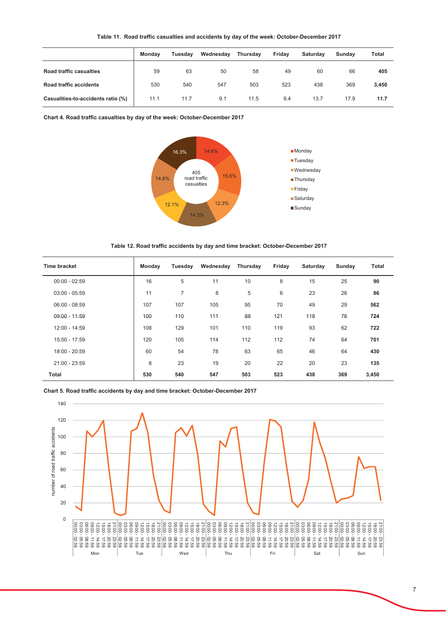|                                    | <b>Monday</b> | Tuesday | Wednesday | Thursday | Fridav | <b>Saturdav</b> | Sundav | Total |
|------------------------------------|---------------|---------|-----------|----------|--------|-----------------|--------|-------|
| Road traffic casualties            | 59            | 63      | 50        | 58       | 49     | 60              | 66     | 405   |
| <b>Road traffic accidents</b>      | 530           | 540     | 547       | 503      | 523    | 438             | 369    | 3,450 |
| Casualities-to-accidents ratio (%) | 11.1          | 11.7    | 9.1       | 11.5     | 9.4    | 13.7            | 17.9   | 11.7  |

Chart 4. Road traffic casualties by day of the week: October-December 2017



Table 12. Road traffic accidents by day and time bracket: October-December 2017

| <b>Time bracket</b> | Monday | Tuesday        | Wednesday | Thursday | Friday | Saturday | Sunday | Total |
|---------------------|--------|----------------|-----------|----------|--------|----------|--------|-------|
| $00:00 - 02:59$     | 16     | 5              | 11        | 10       | 8      | 15       | 25     | 90    |
| $03:00 - 05:59$     | 11     | $\overline{7}$ | 8         | 5        | 6      | 23       | 26     | 86    |
| $06:00 - 08:59$     | 107    | 107            | 105       | 95       | 70     | 49       | 29     | 562   |
| $09:00 - 11:59$     | 100    | 110            | 111       | 88       | 121    | 118      | 76     | 724   |
| 12:00 - 14:59       | 108    | 129            | 101       | 110      | 119    | 93       | 62     | 722   |
| $15:00 - 17:59$     | 120    | 105            | 114       | 112      | 112    | 74       | 64     | 701   |
| 18:00 - 20:59       | 60     | 54             | 78        | 63       | 65     | 46       | 64     | 430   |
| 21:00 - 23:59       | 8      | 23             | 19        | 20       | 22     | 20       | 23     | 135   |
| <b>Total</b>        | 530    | 540            | 547       | 503      | 523    | 438      | 369    | 3,450 |

Chart 5. Road traffic accidents by day and time bracket: October-December 2017

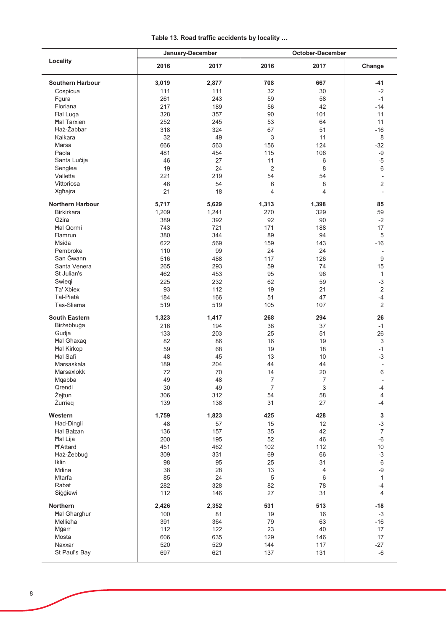|  |  |  |  | Table 13. Road traffic accidents by locality |  |  |  |
|--|--|--|--|----------------------------------------------|--|--|--|
|--|--|--|--|----------------------------------------------|--|--|--|

|                         |       | January-December | October-December |             |                          |  |
|-------------------------|-------|------------------|------------------|-------------|--------------------------|--|
| Locality                | 2016  | 2017             | 2016             | 2017        | Change                   |  |
| <b>Southern Harbour</b> | 3,019 | 2,877            | 708              | 667         | -41                      |  |
| Cospicua                | 111   | 111              | 32               | 30          | $-2$                     |  |
| Fgura                   | 261   | 243              | 59               | 58          | $-1$                     |  |
| Floriana                | 217   | 189              | 56               | 42          | $-14$                    |  |
| <b>Hal Luga</b>         | 328   | 357              | 90               | 101         | 11                       |  |
| <b>Hal Tarxien</b>      | 252   | 245              | 53               | 64          | 11                       |  |
| <b>Haż-Żabbar</b>       | 318   | 324              | 67               | 51          | $-16$                    |  |
| Kalkara                 | 32    | 49               | 3                | 11          | 8                        |  |
| Marsa                   | 666   | 563              | 156              | 124         | $-32$                    |  |
| Paola                   | 481   | 454              | 115              | 106         | $-9$                     |  |
| Santa Lucija            | 46    | 27               | 11               | 6           | $-5$                     |  |
| Senglea                 | 19    | 24               | 2                | 8           | 6                        |  |
| Valletta                | 221   | 219              | 54               | 54          | $\overline{\phantom{a}}$ |  |
| Vittoriosa              | 46    | 54               | 6                | 8           | 2                        |  |
| Xgħajra                 | 21    | 18               | 4                | 4           |                          |  |
| <b>Northern Harbour</b> | 5,717 | 5,629            | 1,313            | 1,398       | 85                       |  |
| <b>Birkirkara</b>       | 1,209 | 1,241            | 270              | 329         | 59                       |  |
| Gżira                   | 389   | 392              | 92               | 90          | $-2$                     |  |
| <b>Hal Qormi</b>        | 743   | 721              | 171              | 188         | 17                       |  |
| <b>Hamrun</b>           | 380   | 344              | 89               | 94          | 5                        |  |
| Msida                   | 622   | 569              | 159              | 143         | $-16$                    |  |
| Pembroke                | 110   | 99               | 24               | 24          | $\overline{\phantom{a}}$ |  |
| San Gwann               | 516   | 488              | 117              | 126         | 9                        |  |
| Santa Venera            | 265   | 293              | 59               | 74          | 15                       |  |
| St Julian's             | 462   | 453              | 95               | 96          | $\mathbf{1}$             |  |
| Swiegi                  | 225   | 232              | 62               | 59          | $-3$                     |  |
| Ta' Xbiex               | 93    | 112              | 19               | 21          | $\overline{2}$           |  |
| Tal-Pietà               | 184   | 166              | 51               | 47          | $-4$                     |  |
| Tas-Sliema              | 519   | 519              | 105              | 107         | $\overline{2}$           |  |
| <b>South Eastern</b>    | 1,323 | 1,417            | 268              | 294         | 26                       |  |
| Birżebbuġa              | 216   | 194              | 38               | 37          | $-1$                     |  |
| Gudja                   | 133   | 203              | 25               | 51          | 26                       |  |
| <b>Hal Ghaxaq</b>       | 82    | 86               | 16               | 19          | $\sqrt{3}$               |  |
| <b>Hal Kirkop</b>       | 59    | 68               | 19               | 18          | $-1$                     |  |
| <b>Hal Safi</b>         | 48    | 45               | 13               | 10          | $-3$                     |  |
| Marsaskala              | 189   | 204              | 44               | 44          |                          |  |
| Marsaxlokk              | 72    | 70               | 14               | 20          | 6                        |  |
| Mgabba                  | 49    | 48               | 7                | 7           |                          |  |
| Qrendi                  | 30    | 49               | $\overline{7}$   | $\,$ 3 $\,$ | -4                       |  |
| Żejtun                  | 306   | 312              | 54               | 58          | $\overline{4}$           |  |
| Żurrieg                 | 139   | 138              | 31               | 27          | -4                       |  |
| Western                 | 1,759 | 1,823            | 425              | 428         | $\mathbf 3$              |  |
| <b>Had-Dingli</b>       | 48    | 57               | 15               | 12          | $-3$                     |  |
| <b>Hal Balzan</b>       | 136   | 157              | 35               | 42          | $\overline{7}$           |  |
| <b>Hal Lija</b>         | 200   | 195              | 52               | 46          | $-6$                     |  |
| <b>H'Attard</b>         | 451   | 462              | 102              | 112         | 10                       |  |
| Haż-Żebbuġ              | 309   | 331              | 69               | 66          | $-3$                     |  |
| Iklin                   | 98    | 95               | 25               | 31          | $\,6\,$                  |  |
| Mdina                   | 38    | 28               | 13               | 4           | $-9$                     |  |
| Mtarfa                  | 85    | 24               | $\,$ 5 $\,$      | 6           | $\mathbf{1}$             |  |
| Rabat                   | 282   | 328              | 82               | 78          | -4                       |  |
| Siggiewi                | 112   | 146              | 27               | 31          | 4                        |  |
| Northern                | 2,426 | 2,352            | 531              | 513         | $-18$                    |  |
| <b>Hal Gharghur</b>     | 100   | 81               | 19               | 16          | $-3$                     |  |
| Mellieħa                | 391   | 364              | 79               | 63          | $-16$                    |  |
| Mġarr                   | 112   | 122              | 23               | 40          | 17                       |  |
| Mosta                   | 606   | 635              | 129              | 146         | 17                       |  |
| Naxxar                  | 520   | 529              | 144              | 117         | $-27$                    |  |
| St Paul's Bay           | 697   | 621              | 137              | 131         | -6                       |  |
|                         |       |                  |                  |             |                          |  |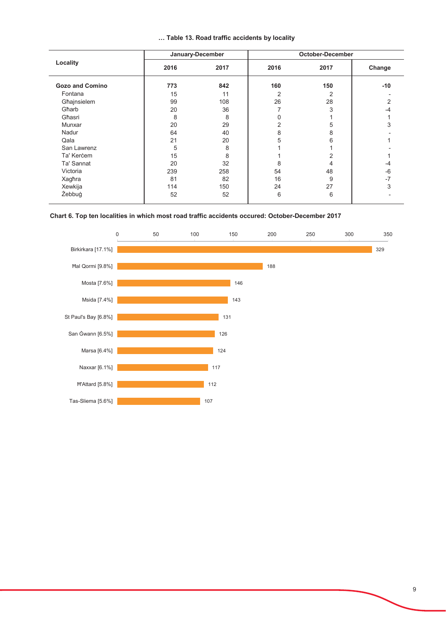|  |  |  |  |  | Table 13. Road traffic accidents by locality |  |  |
|--|--|--|--|--|----------------------------------------------|--|--|
|--|--|--|--|--|----------------------------------------------|--|--|

| Locality               |      | January-December | <b>October-December</b> |      |        |  |
|------------------------|------|------------------|-------------------------|------|--------|--|
|                        | 2016 | 2017             | 2016                    | 2017 | Change |  |
| <b>Gozo and Comino</b> | 773  | 842              | 160                     | 150  | $-10$  |  |
| Fontana                | 15   | 11               | 2                       | 2    |        |  |
| Għajnsielem            | 99   | 108              | 26                      | 28   | 2      |  |
| Gharb                  | 20   | 36               |                         | 3    | -4     |  |
| Għasri                 | 8    | 8                | 0                       |      |        |  |
| Munxar                 | 20   | 29               | 2                       | 5    | 3      |  |
| Nadur                  | 64   | 40               | 8                       | 8    |        |  |
| Qala                   | 21   | 20               | 5                       | 6    |        |  |
| San Lawrenz            | 5    | 8                |                         |      |        |  |
| Ta' Kercem             | 15   | 8                |                         | 2    |        |  |
| Ta' Sannat             | 20   | 32               | 8                       | 4    | -4     |  |
| Victoria               | 239  | 258              | 54                      | 48   | -6     |  |
| Xagħra                 | 81   | 82               | 16                      | 9    | $-7$   |  |
| Xewkija                | 114  | 150              | 24                      | 27   | 3      |  |
| Żebbuġ                 | 52   | 52               | 6                       | 6    |        |  |

# Chart 6. Top ten localities in which most road traffic accidents occured: October-December 2017